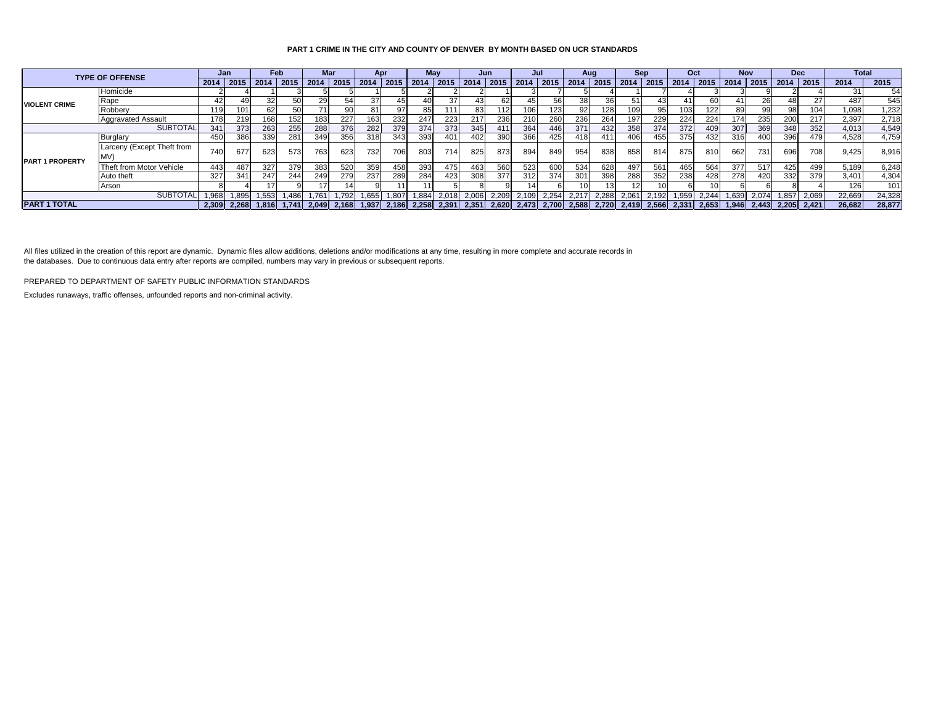## **PART 1 CRIME IN THE CITY AND COUNTY OF DENVER BY MONTH BASED ON UCR STANDARDS**

| <b>TYPE OF OFFENSE</b> |                            |             | Jan   |               | Feb   |                                                       | Mar   |       | Apr   |       | May   |                                           | Jun  |             | Jul             |                           | Aua                     |      | Sep  |       | Oct             |       | <b>Nov</b> |                     | <b>Dec</b>       |        | <b>Total</b> |  |
|------------------------|----------------------------|-------------|-------|---------------|-------|-------------------------------------------------------|-------|-------|-------|-------|-------|-------------------------------------------|------|-------------|-----------------|---------------------------|-------------------------|------|------|-------|-----------------|-------|------------|---------------------|------------------|--------|--------------|--|
|                        |                            | $2014$ 2015 |       |               |       | 2014   2015   2014   2015   2014   2015   2014   2015 |       |       |       |       |       | 2014                                      | 2015 |             |                 | 2014   2015   2014   2015 |                         | 2014 | 2015 | 2014  | 2015            |       |            | 2014 2015 2014 2015 |                  | 2014   | 2015         |  |
|                        | Homicide                   |             |       |               |       |                                                       |       |       |       |       |       |                                           |      |             |                 |                           |                         |      |      |       |                 |       |            |                     |                  |        | 54           |  |
| <b>VIOLENT CRIME</b>   | Rape                       | 42          |       |               |       |                                                       |       |       |       |       | 37    |                                           |      |             |                 |                           |                         |      |      |       |                 |       |            |                     |                  | 487    | 545          |  |
|                        | Robberv                    | 119         |       |               |       |                                                       |       | 81 I  |       | 85    | 111   | 83                                        | 112. |             |                 | 92                        | 1281                    | 109  |      | 103   | 122             |       |            | 98                  | 104 <sub>1</sub> | 1,098  | 1,232        |  |
|                        | <b>Aggravated Assault</b>  | 178         | 219   | 168           | 152   | 183                                                   | 227   | 163   | 232   | 247   | 223   | 217                                       | 236  | 210         | 260             | 236                       | 264                     | 197  | 229  | 224   | 224             | 1741  | 235        | 200                 | 217              | 2,397  | 2,718        |  |
| <b>SUBTOTAL</b>        |                            | 341         | 373   | 263           | 255   | 288                                                   | 376   | 282   | 379   | 374   | 373   | 345                                       | 411  | 364         | 446             | 371                       | 432                     | 358  | 374  | 372   | 40 <sup>c</sup> | 307   | 369        | 348                 | 352              | 4.013  | 4,549        |  |
| <b>PART 1 PROPERTY</b> | Burglary                   | 450         | 386   | 339           | 281   | 349                                                   | 356   | 318   | 343   | 393   | 401   | 402                                       | 390  | 366         | 425             | 418                       | 411                     | 406  | 455  | 375   | 432             | 316   | 400        | 396                 | 479              | 4.528  | 4,759        |  |
|                        | Larceny (Except Theft from | 740         | 677   | 623           | 573   | 763                                                   | 623   | 732   | 706   | 803   | 714   | 825                                       | 873  | 894         | 849             | 954                       | 838                     | 858  | 814  | 875   | 810             | 662   | 731        | 696                 | 708              | 9,425  | 8.916        |  |
|                        | IMV)                       |             |       |               |       |                                                       |       |       |       |       |       |                                           |      |             |                 |                           |                         |      |      |       |                 |       |            |                     |                  |        |              |  |
|                        | Theft from Motor Vehicle   | 443         | 487   | 327           | 379   | 383                                                   | 520   | 359   | 458   | 393   | 475   | 463                                       | 560  | 523         | 60 <sub>C</sub> | 534                       | 628                     | 497  | 561  | 465   | 564             | 377   | 517        | 425                 | 499              | 5,189  | 6,248        |  |
|                        | Auto theft                 | 327         | 341   | 247           | 244   | 249                                                   | 279   | 237   | 289   | 284   | 423   | 308                                       | 377  | 312         | 374             | 301                       | 398                     | 288  | 352  | 238   | 428             | 278   | 420        | 332                 | 379              | 3,401  | 4,304        |  |
|                        | Arson                      |             |       |               |       |                                                       |       |       |       |       |       |                                           |      |             |                 |                           |                         |      |      |       |                 |       |            |                     |                  |        | 101          |  |
| <b>SUBTOTAL</b>        |                            | 1.968       | 1.895 | 1,553         | 1,486 | 1,761                                                 | 1,792 | 1,655 | 1,807 | 1,884 | 2,018 | 2,006 2,209                               |      | 2,109 2,254 |                 |                           | 2,217 2,288 2,061 2,192 |      |      | 1,959 | 2,244           | 1,639 | 2,074      | 1,857               | 2,069            | 22,669 | 24,328       |  |
| <b>PART 1 TOTAL</b>    |                            | 2.309       |       | $2.268$ 1.816 |       | $1.741$ 2.049                                         | 2.168 | 1.937 |       |       |       | 2,186 2,258 2,391 2,351 2,620 2,473 2,700 |      |             |                 |                           | 2.588 2.720 2.419 2.566 |      |      |       | 2.331 2.653     |       |            | $1.946$ 2.443 2.205 | 2.421            | 26,682 | 28,877       |  |

All files utilized in the creation of this report are dynamic. Dynamic files allow additions, deletions and/or modifications at any time, resulting in more complete and accurate records in the databases. Due to continuous data entry after reports are compiled, numbers may vary in previous or subsequent reports.

PREPARED TO DEPARTMENT OF SAFETY PUBLIC INFORMATION STANDARDS

Excludes runaways, traffic offenses, unfounded reports and non-criminal activity.